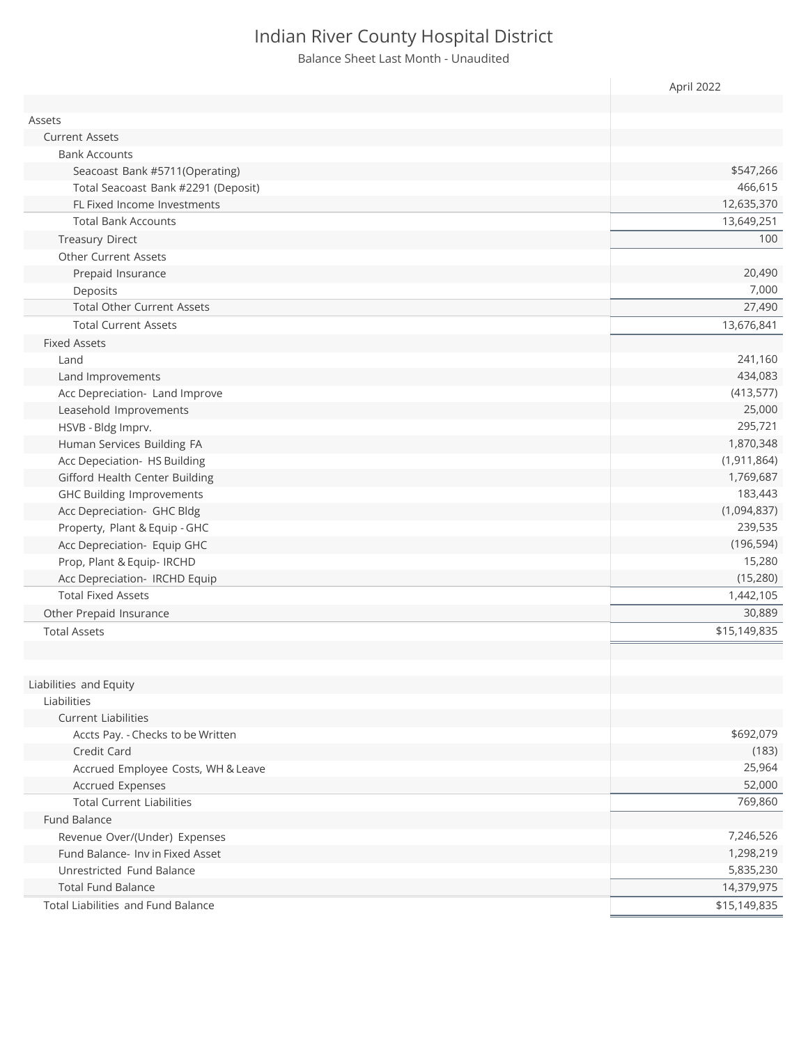Balance Sheet Last Month - Unaudited

|                                     | April 2022    |
|-------------------------------------|---------------|
|                                     |               |
| Assets                              |               |
| <b>Current Assets</b>               |               |
| <b>Bank Accounts</b>                |               |
| Seacoast Bank #5711(Operating)      | \$547,266     |
| Total Seacoast Bank #2291 (Deposit) | 466,615       |
| FL Fixed Income Investments         | 12,635,370    |
| <b>Total Bank Accounts</b>          | 13,649,251    |
| <b>Treasury Direct</b>              | 100           |
| <b>Other Current Assets</b>         |               |
| Prepaid Insurance                   | 20,490        |
| Deposits                            | 7,000         |
| <b>Total Other Current Assets</b>   | 27,490        |
| <b>Total Current Assets</b>         | 13,676,841    |
| <b>Fixed Assets</b>                 |               |
| Land                                | 241,160       |
| Land Improvements                   | 434,083       |
| Acc Depreciation- Land Improve      | (413, 577)    |
| Leasehold Improvements              | 25,000        |
| HSVB - Bldg Imprv.                  | 295,721       |
| Human Services Building FA          | 1,870,348     |
| Acc Depeciation- HS Building        | (1, 911, 864) |
| Gifford Health Center Building      | 1,769,687     |
| <b>GHC Building Improvements</b>    | 183,443       |
| Acc Depreciation- GHC Bldg          | (1,094,837)   |
| Property, Plant & Equip - GHC       | 239,535       |
| Acc Depreciation- Equip GHC         | (196, 594)    |
| Prop, Plant & Equip- IRCHD          | 15,280        |
| Acc Depreciation- IRCHD Equip       | (15, 280)     |
| <b>Total Fixed Assets</b>           | 1,442,105     |
| Other Prepaid Insurance             | 30,889        |
| <b>Total Assets</b>                 | \$15,149,835  |
|                                     |               |
|                                     |               |
| Liabilities and Equity              |               |
| Liabilities                         |               |
| <b>Current Liabilities</b>          |               |
| Accts Pay. - Checks to be Written   | \$692,079     |
| Credit Card                         | (183)         |
| Accrued Employee Costs, WH & Leave  | 25,964        |
| Accrued Expenses                    | 52,000        |
| <b>Total Current Liabilities</b>    | 769,860       |
| Fund Balance                        |               |
| Revenue Over/(Under) Expenses       | 7,246,526     |
| Fund Balance- Inv in Fixed Asset    | 1,298,219     |
| Unrestricted Fund Balance           | 5,835,230     |
| <b>Total Fund Balance</b>           | 14,379,975    |
|                                     |               |
| Total Liabilities and Fund Balance  | \$15,149,835  |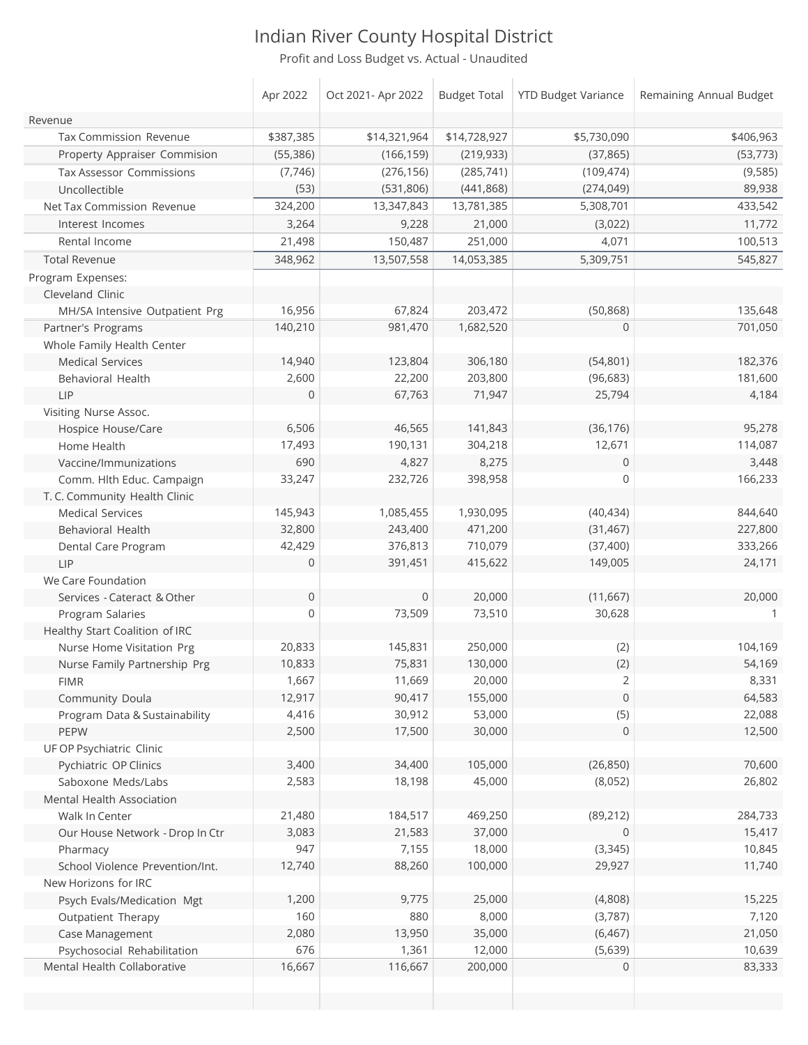Proft and Loss Budget vs. Actual - Unaudited

|                                 | Apr 2022            | Oct 2021- Apr 2022 |              | Budget Total   YTD Budget Variance | Remaining Annual Budget |
|---------------------------------|---------------------|--------------------|--------------|------------------------------------|-------------------------|
| Revenue                         |                     |                    |              |                                    |                         |
| Tax Commission Revenue          | \$387,385           | \$14,321,964       | \$14,728,927 | \$5,730,090                        | \$406,963               |
| Property Appraiser Commision    | (55, 386)           | (166, 159)         | (219, 933)   | (37, 865)                          | (53, 773)               |
| <b>Tax Assessor Commissions</b> | (7, 746)            | (276, 156)         | (285, 741)   | (109, 474)                         | (9, 585)                |
| Uncollectible                   | (53)                | (531, 806)         | (441, 868)   | (274, 049)                         | 89,938                  |
| Net Tax Commission Revenue      | 324,200             | 13,347,843         | 13,781,385   | 5,308,701                          | 433,542                 |
| Interest Incomes                | 3,264               | 9,228              | 21,000       | (3,022)                            | 11,772                  |
| Rental Income                   | 21,498              | 150,487            | 251,000      | 4,071                              | 100,513                 |
| <b>Total Revenue</b>            | 348,962             | 13,507,558         | 14,053,385   | 5,309,751                          | 545,827                 |
| Program Expenses:               |                     |                    |              |                                    |                         |
| Cleveland Clinic                |                     |                    |              |                                    |                         |
| MH/SA Intensive Outpatient Prg  | 16,956              | 67,824             | 203,472      | (50, 868)                          | 135,648                 |
| Partner's Programs              | 140,210             | 981,470            | 1,682,520    | 0                                  | 701,050                 |
| Whole Family Health Center      |                     |                    |              |                                    |                         |
| <b>Medical Services</b>         | 14,940              | 123,804            | 306,180      | (54, 801)                          | 182,376                 |
| Behavioral Health               | 2,600               | 22,200             | 203,800      | (96, 683)                          | 181,600                 |
| LIP                             | $\overline{0}$      | 67,763             | 71,947       | 25,794                             | 4,184                   |
| Visiting Nurse Assoc.           |                     |                    |              |                                    |                         |
| Hospice House/Care              | 6,506               | 46,565             | 141,843      | (36, 176)                          | 95,278                  |
| Home Health                     | 17,493              | 190,131            | 304,218      | 12,671                             | 114,087                 |
| Vaccine/Immunizations           | 690                 | 4,827              | 8,275        | 0                                  | 3,448                   |
| Comm. Hlth Educ. Campaign       | 33,247              | 232,726            | 398,958      | $\mathbf 0$                        | 166,233                 |
| T. C. Community Health Clinic   |                     |                    |              |                                    |                         |
| <b>Medical Services</b>         | 145,943             | 1,085,455          | 1,930,095    | (40, 434)                          | 844,640                 |
| Behavioral Health               | 32,800              | 243,400            | 471,200      | (31, 467)                          | 227,800                 |
| Dental Care Program             | 42,429              | 376,813            | 710,079      | (37, 400)                          | 333,266                 |
| LIP                             | $\overline{0}$      | 391,451            | 415,622      | 149,005                            | 24,171                  |
| We Care Foundation              |                     |                    |              |                                    |                         |
| Services - Cateract & Other     | $\mathsf{O}\xspace$ | $\mathbf 0$        | 20,000       | (11, 667)                          | 20,000                  |
| Program Salaries                | 0                   | 73,509             | 73,510       | 30,628                             | 1                       |
| Healthy Start Coalition of IRC  |                     |                    |              |                                    |                         |
| Nurse Home Visitation Prg       | 20,833              | 145,831            | 250,000      | (2)                                | 104,169                 |
| Nurse Family Partnership Prg    | 10,833              | 75,831             | 130,000      | (2)                                | 54,169                  |
| <b>FIMR</b>                     | 1,667               | 11,669             | 20,000       | $\overline{2}$                     | 8,331                   |
| Community Doula                 | 12,917              | 90,417             | 155,000      | $\mathsf{O}$                       | 64,583                  |
| Program Data & Sustainability   | 4,416               | 30,912             | 53,000       | (5)                                | 22,088                  |
| PEPW                            | 2,500               | 17,500             | 30,000       | 0                                  | 12,500                  |
| UF OP Psychiatric Clinic        |                     |                    |              |                                    |                         |
| Pychiatric OP Clinics           | 3,400               | 34,400             | 105,000      | (26, 850)                          | 70,600                  |
| Saboxone Meds/Labs              | 2,583               | 18,198             | 45,000       | (8,052)                            | 26,802                  |
| Mental Health Association       |                     |                    |              |                                    |                         |
| Walk In Center                  | 21,480              | 184,517            | 469,250      | (89, 212)                          | 284,733                 |
| Our House Network - Drop In Ctr | 3,083               | 21,583             | 37,000       | $\overline{0}$                     | 15,417                  |
| Pharmacy                        | 947                 | 7,155              | 18,000       | (3, 345)                           | 10,845                  |
| School Violence Prevention/Int. | 12,740              | 88,260             | 100,000      | 29,927                             | 11,740                  |
| New Horizons for IRC            |                     |                    |              |                                    |                         |
| Psych Evals/Medication Mgt      | 1,200               | 9,775              | 25,000       | (4,808)                            | 15,225                  |
| Outpatient Therapy              | 160                 | 880                | 8,000        | (3,787)                            | 7,120                   |
| Case Management                 | 2,080               | 13,950             | 35,000       | (6, 467)                           | 21,050                  |
| Psychosocial Rehabilitation     | 676                 | 1,361              | 12,000       | (5,639)                            | 10,639                  |
| Mental Health Collaborative     | 16,667              | 116,667            | 200,000      | $\mathbf 0$                        | 83,333                  |
|                                 |                     |                    |              |                                    |                         |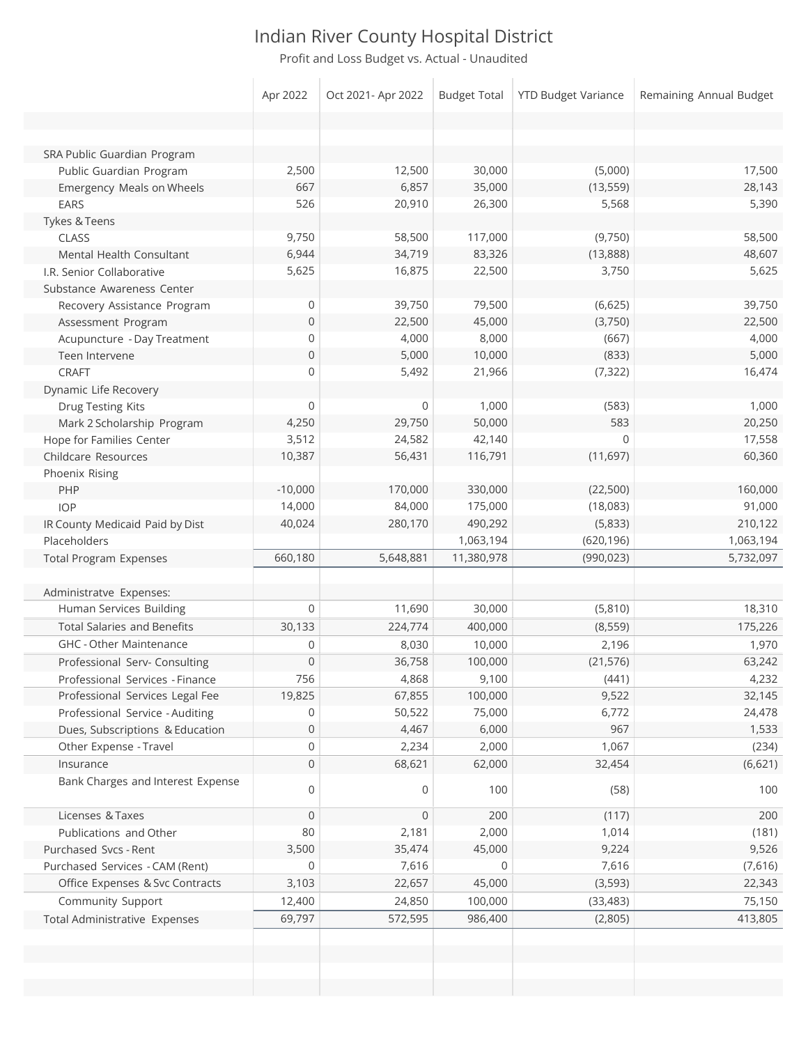Profit and Loss Budget vs. Actual - Unaudited

|                                    | Apr 2022       | Oct 2021- Apr 2022 | <b>Budget Total</b> | <b>YTD Budget Variance</b> | Remaining Annual Budget |
|------------------------------------|----------------|--------------------|---------------------|----------------------------|-------------------------|
|                                    |                |                    |                     |                            |                         |
|                                    |                |                    |                     |                            |                         |
| SRA Public Guardian Program        |                |                    |                     |                            |                         |
| Public Guardian Program            | 2,500          | 12,500             | 30,000              | (5,000)                    | 17,500                  |
| Emergency Meals on Wheels          | 667            | 6,857              | 35,000              | (13, 559)                  | 28,143                  |
| <b>EARS</b>                        | 526            | 20,910             | 26,300              | 5,568                      | 5,390                   |
| Tykes & Teens                      |                |                    |                     |                            |                         |
| <b>CLASS</b>                       | 9,750          | 58,500             | 117,000             | (9,750)                    | 58,500                  |
| Mental Health Consultant           | 6,944          | 34,719             | 83,326              | (13,888)                   | 48,607                  |
| I.R. Senior Collaborative          | 5,625          | 16,875             | 22,500              | 3,750                      | 5,625                   |
| Substance Awareness Center         |                |                    |                     |                            |                         |
| Recovery Assistance Program        | 0              | 39,750             | 79,500              | (6,625)                    | 39,750                  |
| Assessment Program                 | $\mathbf 0$    | 22,500             | 45,000              | (3,750)                    | 22,500                  |
| Acupuncture - Day Treatment        | 0              | 4,000              | 8,000               | (667)                      | 4,000                   |
| Teen Intervene                     | $\mathbf{0}$   | 5,000              | 10,000              | (833)                      | 5,000                   |
| <b>CRAFT</b>                       | 0              | 5,492              | 21,966              | (7, 322)                   | 16,474                  |
| Dynamic Life Recovery              |                |                    |                     |                            |                         |
| Drug Testing Kits                  | $\Omega$       | 0                  | 1,000               | (583)                      | 1,000                   |
| Mark 2 Scholarship Program         | 4,250          | 29,750             | 50,000              | 583                        | 20,250                  |
| Hope for Families Center           | 3,512          | 24,582             | 42,140              | 0                          | 17,558                  |
| Childcare Resources                | 10,387         | 56,431             | 116,791             | (11, 697)                  | 60,360                  |
| Phoenix Rising                     |                |                    |                     |                            |                         |
| PHP                                | $-10,000$      | 170,000            | 330,000             | (22, 500)                  | 160,000                 |
| <b>IOP</b>                         | 14,000         | 84,000             | 175,000             | (18,083)                   | 91,000                  |
| IR County Medicaid Paid by Dist    | 40,024         | 280,170            | 490,292             | (5,833)                    | 210,122                 |
| Placeholders                       |                |                    | 1,063,194           | (620, 196)                 | 1,063,194               |
| <b>Total Program Expenses</b>      | 660,180        | 5,648,881          | 11,380,978          | (990, 023)                 | 5,732,097               |
|                                    |                |                    |                     |                            |                         |
| Administratve Expenses:            |                |                    |                     |                            |                         |
| Human Services Building            | $\mathbf 0$    | 11,690             | 30,000              | (5,810)                    | 18,310                  |
| <b>Total Salaries and Benefits</b> | 30,133         | 224,774            | 400,000             | (8, 559)                   | 175,226                 |
| <b>GHC - Other Maintenance</b>     | 0              | 8,030              | 10,000              | 2,196                      | 1,970                   |
| Professional Serv- Consulting      | $\mathbf 0$    | 36,758             | 100,000             | (21, 576)                  | 63,242                  |
| Professional Services - Finance    | 756            | 4,868              | 9,100               | (441)                      | 4,232                   |
| Professional Services Legal Fee    | 19,825         | 67,855             | 100,000             | 9,522                      | 32,145                  |
| Professional Service - Auditing    | 0              | 50,522             | 75,000              | 6,772                      | 24,478                  |
| Dues, Subscriptions & Education    | $\overline{0}$ | 4,467              | 6,000               | 967                        | 1,533                   |
| Other Expense - Travel             | 0              | 2,234              | 2,000               | 1,067                      | (234)                   |
| Insurance                          | $\mathbf 0$    | 68,621             | 62,000              | 32,454                     | (6,621)                 |
| Bank Charges and Interest Expense  | 0              | 0                  | 100                 | (58)                       | 100                     |
| Licenses & Taxes                   | $\mathbf 0$    | 0                  | 200                 | (117)                      | 200                     |
| Publications and Other             | 80             | 2,181              | 2,000               | 1,014                      | (181)                   |
| Purchased Svcs - Rent              | 3,500          | 35,474             | 45,000              | 9,224                      | 9,526                   |
| Purchased Services - CAM (Rent)    | 0              | 7,616              | 0                   | 7,616                      | (7,616)                 |
| Office Expenses & Svc Contracts    | 3,103          | 22,657             | 45,000              | (3, 593)                   | 22,343                  |
| Community Support                  | 12,400         | 24,850             | 100,000             | (33, 483)                  | 75,150                  |
| Total Administrative Expenses      | 69,797         | 572,595            | 986,400             | (2,805)                    | 413,805                 |
|                                    |                |                    |                     |                            |                         |
|                                    |                |                    |                     |                            |                         |
|                                    |                |                    |                     |                            |                         |
|                                    |                |                    |                     |                            |                         |